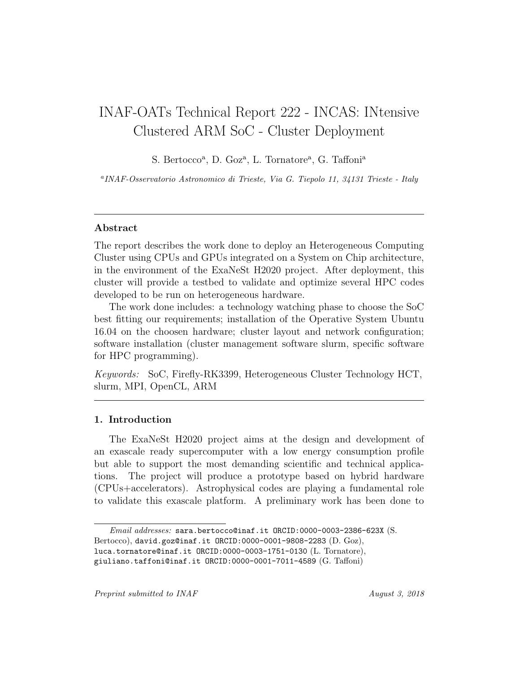# INAF-OATs Technical Report 222 - INCAS: INtensive Clustered ARM SoC - Cluster Deployment

S. Bertocco<sup>a</sup>, D. Goz<sup>a</sup>, L. Tornatore<sup>a</sup>, G. Taffoni<sup>a</sup>

<sup>a</sup>INAF-Osservatorio Astronomico di Trieste, Via G. Tiepolo 11, 34131 Trieste - Italy

## Abstract

The report describes the work done to deploy an Heterogeneous Computing Cluster using CPUs and GPUs integrated on a System on Chip architecture, in the environment of the ExaNeSt H2020 project. After deployment, this cluster will provide a testbed to validate and optimize several HPC codes developed to be run on heterogeneous hardware.

The work done includes: a technology watching phase to choose the SoC best fitting our requirements; installation of the Operative System Ubuntu 16.04 on the choosen hardware; cluster layout and network configuration; software installation (cluster management software slurm, specific software for HPC programming).

Keywords: SoC, Firefly-RK3399, Heterogeneous Cluster Technology HCT, slurm, MPI, OpenCL, ARM

## 1. Introduction

The ExaNeSt H2020 project aims at the design and development of an exascale ready supercomputer with a low energy consumption profile but able to support the most demanding scientific and technical applications. The project will produce a prototype based on hybrid hardware (CPUs+accelerators). Astrophysical codes are playing a fundamental role to validate this exascale platform. A preliminary work has been done to

Email addresses: sara.bertocco@inaf.it ORCID:0000-0003-2386-623X (S.

Bertocco), david.goz@inaf.it ORCID:0000-0001-9808-2283 (D. Goz),

luca.tornatore@inaf.it ORCID:0000-0003-1751-0130 (L. Tornatore),

giuliano.taffoni@inaf.it ORCID:0000-0001-7011-4589 (G. Taffoni)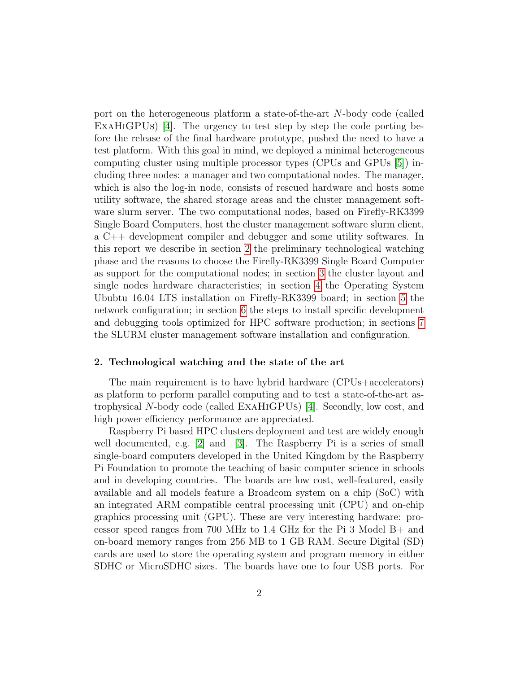port on the heterogeneous platform a state-of-the-art N-body code (called ExaHiGPUs) [\[4\]](#page-25-0). The urgency to test step by step the code porting before the release of the final hardware prototype, pushed the need to have a test platform. With this goal in mind, we deployed a minimal heterogeneous computing cluster using multiple processor types (CPUs and GPUs [\[5\]](#page-25-1)) including three nodes: a manager and two computational nodes. The manager, which is also the log-in node, consists of rescued hardware and hosts some utility software, the shared storage areas and the cluster management software slurm server. The two computational nodes, based on Firefly-RK3399 Single Board Computers, host the cluster management software slurm client, a C++ development compiler and debugger and some utility softwares. In this report we describe in section [2](#page-1-0) the preliminary technological watching phase and the reasons to choose the Firefly-RK3399 Single Board Computer as support for the computational nodes; in section [3](#page-2-0) the cluster layout and single nodes hardware characteristics; in section [4](#page-3-0) the Operating System Ububtu 16.04 LTS installation on Firefly-RK3399 board; in section [5](#page-7-0) the network configuration; in section [6](#page-10-0) the steps to install specific development and debugging tools optimized for HPC software production; in sections [7](#page-12-0) the SLURM cluster management software installation and configuration.

#### <span id="page-1-0"></span>2. Technological watching and the state of the art

The main requirement is to have hybrid hardware (CPUs+accelerators) as platform to perform parallel computing and to test a state-of-the-art astrophysical N-body code (called ExaHiGPUs) [\[4\]](#page-25-0). Secondly, low cost, and high power efficiency performance are appreciated.

Raspberry Pi based HPC clusters deployment and test are widely enough well documented, e.g. [\[2\]](#page-25-2) and [\[3\]](#page-25-3). The Raspberry Pi is a series of small single-board computers developed in the United Kingdom by the Raspberry Pi Foundation to promote the teaching of basic computer science in schools and in developing countries. The boards are low cost, well-featured, easily available and all models feature a Broadcom system on a chip (SoC) with an integrated ARM compatible central processing unit (CPU) and on-chip graphics processing unit (GPU). These are very interesting hardware: processor speed ranges from 700 MHz to 1.4 GHz for the Pi 3 Model B+ and on-board memory ranges from 256 MB to 1 GB RAM. Secure Digital (SD) cards are used to store the operating system and program memory in either SDHC or MicroSDHC sizes. The boards have one to four USB ports. For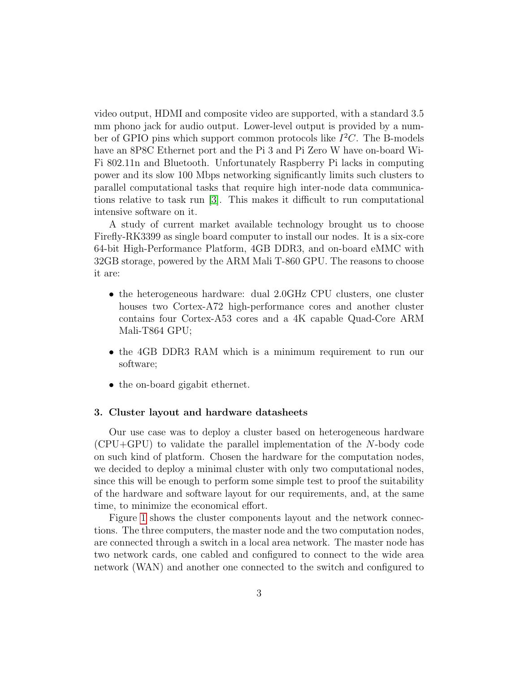video output, HDMI and composite video are supported, with a standard 3.5 mm phono jack for audio output. Lower-level output is provided by a number of GPIO pins which support common protocols like  $I<sup>2</sup>C$ . The B-models have an 8P8C Ethernet port and the Pi 3 and Pi Zero W have on-board Wi-Fi 802.11n and Bluetooth. Unfortunately Raspberry Pi lacks in computing power and its slow 100 Mbps networking significantly limits such clusters to parallel computational tasks that require high inter-node data communications relative to task run [\[3\]](#page-25-3). This makes it difficult to run computational intensive software on it.

A study of current market available technology brought us to choose Firefly-RK3399 as single board computer to install our nodes. It is a six-core 64-bit High-Performance Platform, 4GB DDR3, and on-board eMMC with 32GB storage, powered by the ARM Mali T-860 GPU. The reasons to choose it are:

- the heterogeneous hardware: dual 2.0GHz CPU clusters, one cluster houses two Cortex-A72 high-performance cores and another cluster contains four Cortex-A53 cores and a 4K capable Quad-Core ARM Mali-T864 GPU;
- the 4GB DDR3 RAM which is a minimum requirement to run our software;
- the on-board gigabit ethernet.

#### <span id="page-2-0"></span>3. Cluster layout and hardware datasheets

Our use case was to deploy a cluster based on heterogeneous hardware (CPU+GPU) to validate the parallel implementation of the N-body code on such kind of platform. Chosen the hardware for the computation nodes, we decided to deploy a minimal cluster with only two computational nodes, since this will be enough to perform some simple test to proof the suitability of the hardware and software layout for our requirements, and, at the same time, to minimize the economical effort.

Figure [1](#page-3-1) shows the cluster components layout and the network connections. The three computers, the master node and the two computation nodes, are connected through a switch in a local area network. The master node has two network cards, one cabled and configured to connect to the wide area network (WAN) and another one connected to the switch and configured to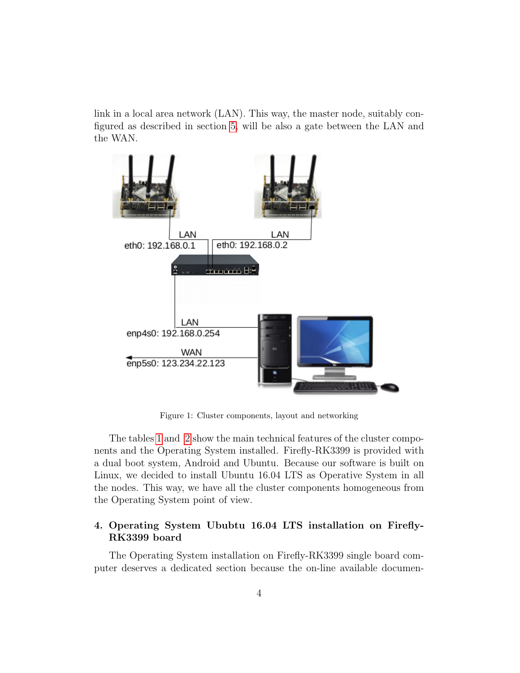link in a local area network (LAN). This way, the master node, suitably configured as described in section [5,](#page-7-0) will be also a gate between the LAN and the WAN.



<span id="page-3-1"></span>Figure 1: Cluster components, layout and networking

The tables [1](#page-4-0) and [2](#page-4-1) show the main technical features of the cluster components and the Operating System installed. Firefly-RK3399 is provided with a dual boot system, Android and Ubuntu. Because our software is built on Linux, we decided to install Ubuntu 16.04 LTS as Operative System in all the nodes. This way, we have all the cluster components homogeneous from the Operating System point of view.

# <span id="page-3-0"></span>4. Operating System Ububtu 16.04 LTS installation on Firefly-RK3399 board

The Operating System installation on Firefly-RK3399 single board computer deserves a dedicated section because the on-line available documen-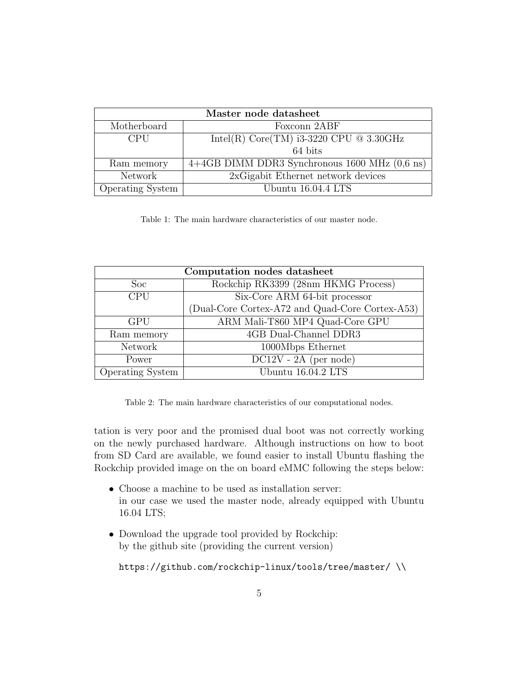| Master node datasheet   |                                                           |  |
|-------------------------|-----------------------------------------------------------|--|
| Motherboard             | Foxconn 2ABF                                              |  |
| <b>CPU</b>              | Intel(R) Core(TM) i3-3220 CPU $@$ 3.30GHz                 |  |
|                         | 64 bits                                                   |  |
| Ram memory              | $4+4GB$ DIMM DDR3 Synchronous 1600 MHz $(0,6 \text{ ns})$ |  |
| Network                 | 2xGigabit Ethernet network devices                        |  |
| <b>Operating System</b> | Ubuntu 16.04.4 LTS                                        |  |

<span id="page-4-0"></span>Table 1: The main hardware characteristics of our master node.

| Computation nodes datasheet |                                                 |  |
|-----------------------------|-------------------------------------------------|--|
| Soc                         | Rockchip RK3399 (28nm HKMG Process)             |  |
| <b>CPU</b>                  | Six-Core ARM 64-bit processor                   |  |
|                             | (Dual-Core Cortex-A72 and Quad-Core Cortex-A53) |  |
| GPU                         | ARM Mali-T860 MP4 Quad-Core GPU                 |  |
| Ram memory                  | 4GB Dual-Channel DDR3                           |  |
| Network                     | 1000Mbps Ethernet                               |  |
| Power                       | $DC12V - 2A$ (per node)                         |  |
| Operating System            | Ubuntu 16.04.2 LTS                              |  |

<span id="page-4-1"></span>Table 2: The main hardware characteristics of our computational nodes.

tation is very poor and the promised dual boot was not correctly working on the newly purchased hardware. Although instructions on how to boot from SD Card are available, we found easier to install Ubuntu flashing the Rockchip provided image on the on board eMMC following the steps below:

- Choose a machine to be used as installation server: in our case we used the master node, already equipped with Ubuntu 16.04 LTS;
- Download the upgrade tool provided by Rockchip: by the github site (providing the current version)

https://github.com/rockchip-linux/tools/tree/master/ \\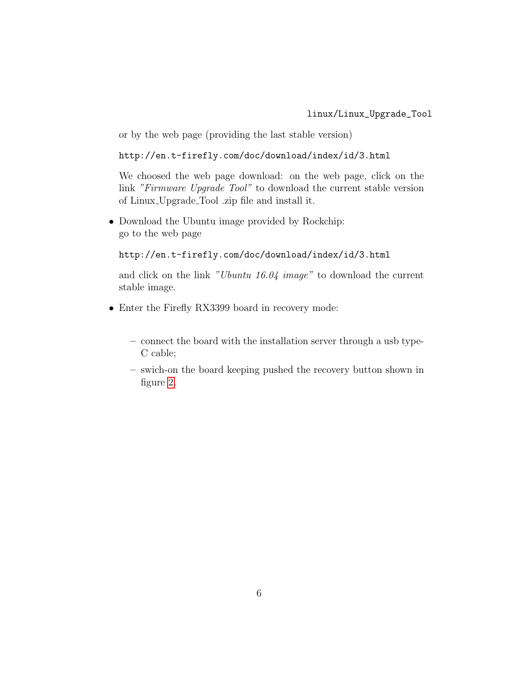## linux/Linux\_Upgrade\_Tool

or by the web page (providing the last stable version)

```
http://en.t-firefly.com/doc/download/index/id/3.html
```
We choosed the web page download: on the web page, click on the link "Firmware Upgrade Tool" to download the current stable version of Linux Upgrade Tool .zip file and install it.

• Download the Ubuntu image provided by Rockchip: go to the web page

```
http://en.t-firefly.com/doc/download/index/id/3.html
```
and click on the link "Ubuntu 16.04 image" to download the current stable image.

- Enter the Firefly RX3399 board in recovery mode:
	- connect the board with the installation server through a usb type-C cable;
	- swich-on the board keeping pushed the recovery button shown in figure [2.](#page-6-0)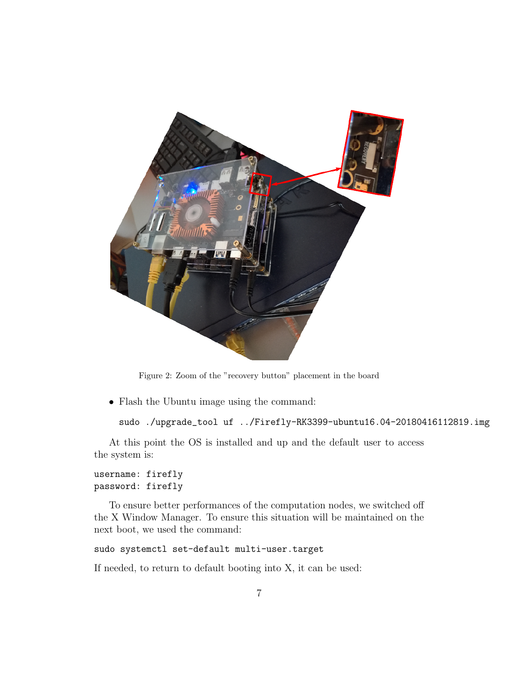

Figure 2: Zoom of the "recovery button" placement in the board

<span id="page-6-0"></span>• Flash the Ubuntu image using the command:

```
sudo ./upgrade_tool uf ../Firefly-RK3399-ubuntu16.04-20180416112819.img
```
At this point the OS is installed and up and the default user to access the system is:

```
username: firefly
password: firefly
```
To ensure better performances of the computation nodes, we switched off the X Window Manager. To ensure this situation will be maintained on the next boot, we used the command:

```
sudo systemctl set-default multi-user.target
```
If needed, to return to default booting into X, it can be used: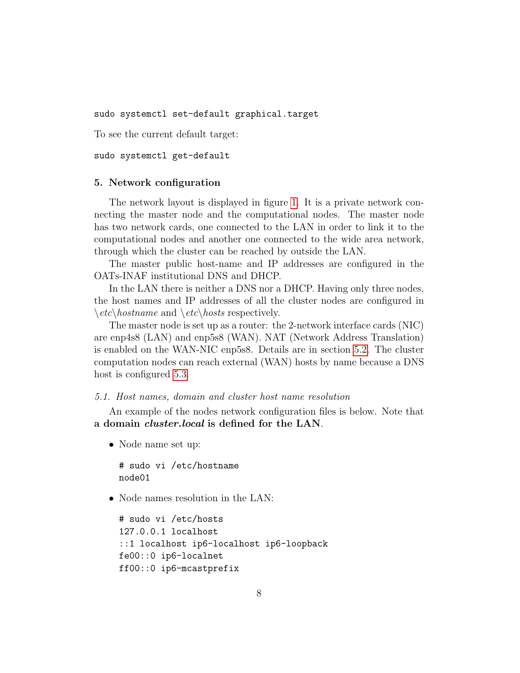sudo systemctl set-default graphical.target

To see the current default target:

sudo systemctl get-default

#### <span id="page-7-0"></span>5. Network configuration

The network layout is displayed in figure [1.](#page-3-1) It is a private network connecting the master node and the computational nodes. The master node has two network cards, one connected to the LAN in order to link it to the computational nodes and another one connected to the wide area network, through which the cluster can be reached by outside the LAN.

The master public host-name and IP addresses are configured in the OATs-INAF institutional DNS and DHCP.

In the LAN there is neither a DNS nor a DHCP. Having only three nodes, the host names and IP addresses of all the cluster nodes are configured in  $\setminus etc \setminus hostname$  and  $\setminus etc \setminus hosts$  respectively.

The master node is set up as a router: the 2-network interface cards (NIC) are enp4s8 (LAN) and enp5s8 (WAN). NAT (Network Address Translation) is enabled on the WAN-NIC enp5s8. Details are in section [5.2.](#page-8-0) The cluster computation nodes can reach external (WAN) hosts by name because a DNS host is configured  $5.3$ .

## 5.1. Host names, domain and cluster host name resolution

An example of the nodes network configuration files is below. Note that a domain cluster.local is defined for the LAN.

• Node name set up:

```
# sudo vi /etc/hostname
node01
```
• Node names resolution in the LAN:

```
# sudo vi /etc/hosts
127.0.0.1 localhost
::1 localhost ip6-localhost ip6-loopback
fe00::0 ip6-localnet
ff00::0 ip6-mcastprefix
```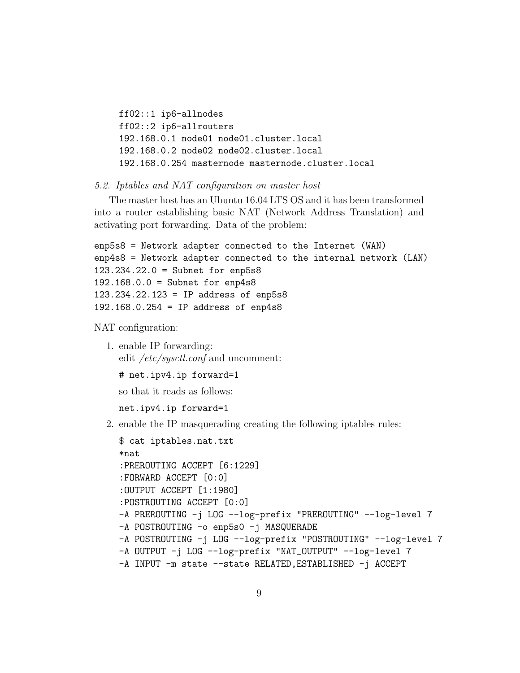ff02::1 ip6-allnodes ff02::2 ip6-allrouters 192.168.0.1 node01 node01.cluster.local 192.168.0.2 node02 node02.cluster.local 192.168.0.254 masternode masternode.cluster.local

#### <span id="page-8-0"></span>5.2. Iptables and NAT configuration on master host

The master host has an Ubuntu 16.04 LTS OS and it has been transformed into a router establishing basic NAT (Network Address Translation) and activating port forwarding. Data of the problem:

```
enp5s8 = Network adapter connected to the Internet (WAN)
enp4s8 = Network adapter connected to the internal network (LAN)
123.234.22.0 = Subnet for enp5s8
192.168.0.0 = Subnet for enp4s8
123.234.22.123 = IP address of enp5s8
192.168.0.254 = IP address of enp4s8
```
NAT configuration:

1. enable IP forwarding: edit /etc/sysctl.conf and uncomment:

# net.ipv4.ip forward=1

so that it reads as follows:

net.ipv4.ip forward=1

2. enable the IP masquerading creating the following iptables rules:

```
$ cat iptables.nat.txt
*nat
:PREROUTING ACCEPT [6:1229]
:FORWARD ACCEPT [0:0]
:OUTPUT ACCEPT [1:1980]
:POSTROUTING ACCEPT [0:0]
-A PREROUTING -j LOG --log-prefix "PREROUTING" --log-level 7
-A POSTROUTING -o enp5s0 -j MASQUERADE
-A POSTROUTING -j LOG --log-prefix "POSTROUTING" --log-level 7
-A OUTPUT -j LOG --log-prefix "NAT_OUTPUT" --log-level 7
-A INPUT -m state --state RELATED,ESTABLISHED -j ACCEPT
```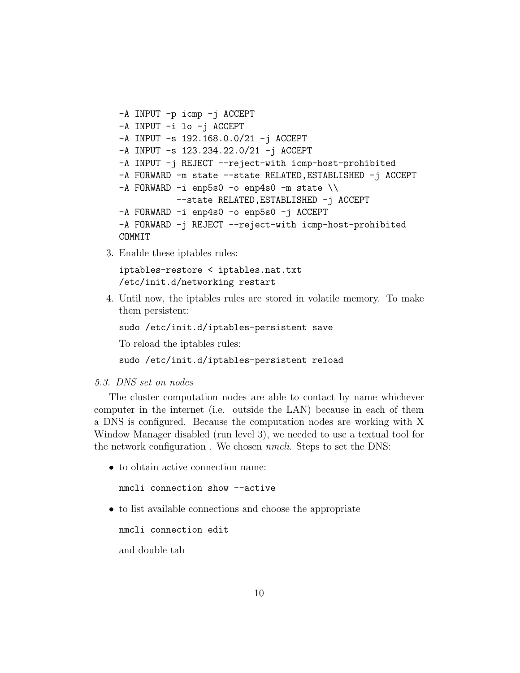```
-A INPUT -p icmp -j ACCEPT
-A INPUT -i lo -j ACCEPT
-A INPUT -s 192.168.0.0/21 -j ACCEPT
-A INPUT -s 123.234.22.0/21 -j ACCEPT
-A INPUT -j REJECT --reject-with icmp-host-prohibited
-A FORWARD -m state --state RELATED,ESTABLISHED -j ACCEPT
-A FORWARD -i enp5s0 -o enp4s0 -m state \setminus\setminus--state RELATED,ESTABLISHED -j ACCEPT
-A FORWARD -i enp4s0 -o enp5s0 -j ACCEPT
-A FORWARD -j REJECT --reject-with icmp-host-prohibited
COMMIT
```
3. Enable these iptables rules:

iptables-restore < iptables.nat.txt /etc/init.d/networking restart

4. Until now, the iptables rules are stored in volatile memory. To make them persistent:

sudo /etc/init.d/iptables-persistent save

To reload the iptables rules:

sudo /etc/init.d/iptables-persistent reload

# <span id="page-9-0"></span>5.3. DNS set on nodes

The cluster computation nodes are able to contact by name whichever computer in the internet (i.e. outside the LAN) because in each of them a DNS is configured. Because the computation nodes are working with X Window Manager disabled (run level 3), we needed to use a textual tool for the network configuration . We chosen nmcli. Steps to set the DNS:

• to obtain active connection name:

nmcli connection show --active

• to list available connections and choose the appropriate

nmcli connection edit

and double tab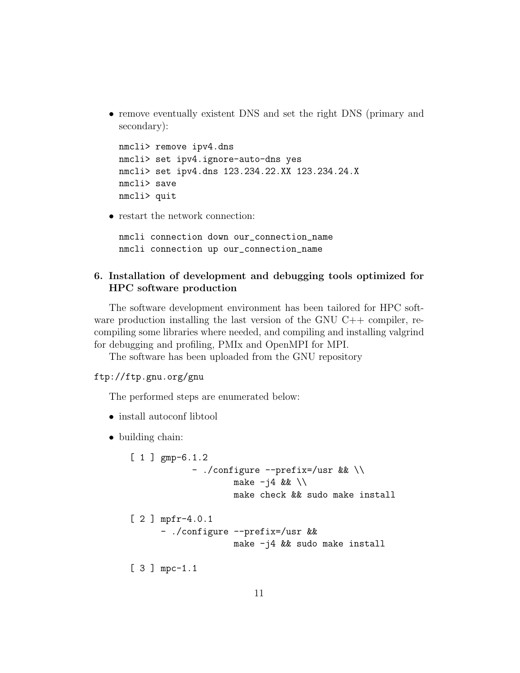• remove eventually existent DNS and set the right DNS (primary and secondary):

```
nmcli> remove ipv4.dns
nmcli> set ipv4.ignore-auto-dns yes
nmcli> set ipv4.dns 123.234.22.XX 123.234.24.X
nmcli> save
nmcli> quit
```
• restart the network connection:

```
nmcli connection down our_connection_name
nmcli connection up our_connection_name
```
# <span id="page-10-0"></span>6. Installation of development and debugging tools optimized for HPC software production

The software development environment has been tailored for HPC software production installing the last version of the GNU  $C++$  compiler, recompiling some libraries where needed, and compiling and installing valgrind for debugging and profiling, PMIx and OpenMPI for MPI.

The software has been uploaded from the GNU repository

ftp://ftp.gnu.org/gnu

The performed steps are enumerated below:

- install autoconf libtool
- building chain:

```
[ 1 ] gmp-6.1.2
            - ./configure --prefix=/usr && \\
                    make -j4 & \lambdamake check && sudo make install
[ 2 ] mpfr-4.0.1
      - ./configure --prefix=/usr &&
                    make -j4 && sudo make install
[ 3 ] mpc-1.1
```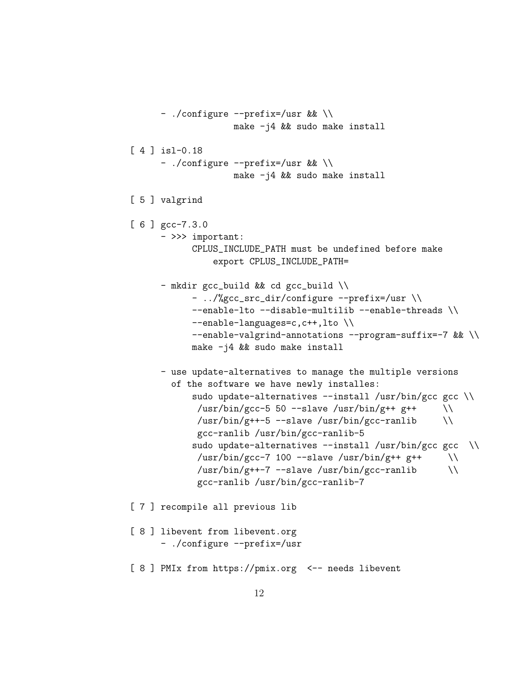```
- ./configure --prefix=/usr && \\
                    make -j4 && sudo make install
[ 4 ] isl-0.18
      - ./configure --prefix=/usr && \\
                    make -j4 && sudo make install
[ 5 ] valgrind
[ 6 ] gcc-7.3.0
     - >>> important:
            CPLUS_INCLUDE_PATH must be undefined before make
                export CPLUS_INCLUDE_PATH=
      - mkdir gcc_build && cd gcc_build \\
            - ../%gcc_src_dir/configure --prefix=/usr \\
            --enable-lto --disable-multilib --enable-threads \\
            --enable-languages=c,c++,lto \\
            --enable-valgrind-annotations --program-suffix=-7 && \\
            make -j4 && sudo make install
      - use update-alternatives to manage the multiple versions
        of the software we have newly installes:
            sudo update-alternatives --install /usr/bin/gcc gcc \\
             /usr/bin/gcc-5 50 --slave /usr/bin/g++ g++ \\
             /usr/bin/g++-5 --slave /usr/bin/gcc-ranlib \setminusgcc-ranlib /usr/bin/gcc-ranlib-5
            sudo update-alternatives --install /usr/bin/gcc gcc \\
             /usr/bin/gcc-7 100 --slave /usr/bin/g++ g++ \\
             \sqrt{\text{usr/bin/g++-7}} --slave \sqrt{\text{usr/bin/gcc-ranlib}}gcc-ranlib /usr/bin/gcc-ranlib-7
[ 7 ] recompile all previous lib
[ 8 ] libevent from libevent.org
      - ./configure --prefix=/usr
[ 8 ] PMIx from https://pmix.org <-- needs libevent
```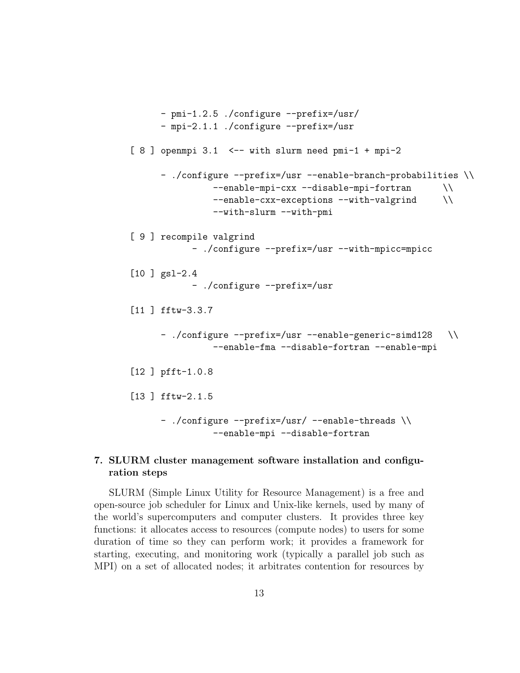```
- pmi-1.2.5 ./configure --prefix=/usr/
     - mpi-2.1.1 ./configure --prefix=/usr
[8] openmpi 3.1 <-- with slurm need pmi-1 + mpi-2
     - ./configure --prefix=/usr --enable-branch-probabilities \\
               --enable-mpi-cxx --disable-mpi-fortran \\
               --enable-cxx-exceptions --with-valgrind \\
               --with-slurm --with-pmi
[ 9 ] recompile valgrind
           - ./configure --prefix=/usr --with-mpicc=mpicc
[10 ] gsl-2.4
           - ./configure --prefix=/usr
[11 ] fftw-3.3.7
     - ./configure --prefix=/usr --enable-generic-simd128 \\
               --enable-fma --disable-fortran --enable-mpi
[12 ] pfft-1.0.8
[13 ] fftw-2.1.5
     - ./configure --prefix=/usr/ --enable-threads \\
               --enable-mpi --disable-fortran
```
# <span id="page-12-0"></span>7. SLURM cluster management software installation and configuration steps

SLURM (Simple Linux Utility for Resource Management) is a free and open-source job scheduler for Linux and Unix-like kernels, used by many of the world's supercomputers and computer clusters. It provides three key functions: it allocates access to resources (compute nodes) to users for some duration of time so they can perform work; it provides a framework for starting, executing, and monitoring work (typically a parallel job such as MPI) on a set of allocated nodes; it arbitrates contention for resources by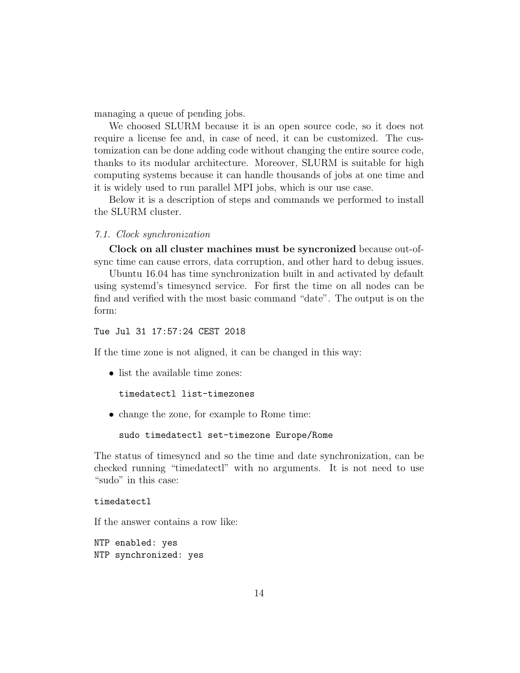managing a queue of pending jobs.

We choosed SLURM because it is an open source code, so it does not require a license fee and, in case of need, it can be customized. The customization can be done adding code without changing the entire source code, thanks to its modular architecture. Moreover, SLURM is suitable for high computing systems because it can handle thousands of jobs at one time and it is widely used to run parallel MPI jobs, which is our use case.

Below it is a description of steps and commands we performed to install the SLURM cluster.

7.1. Clock synchronization

Clock on all cluster machines must be syncronized because out-ofsync time can cause errors, data corruption, and other hard to debug issues.

Ubuntu 16.04 has time synchronization built in and activated by default using systemd's timesyncd service. For first the time on all nodes can be find and verified with the most basic command "date". The output is on the form:

# Tue Jul 31 17:57:24 CEST 2018

If the time zone is not aligned, it can be changed in this way:

• list the available time zones:

```
timedatectl list-timezones
```
• change the zone, for example to Rome time:

sudo timedatectl set-timezone Europe/Rome

The status of timesyncd and so the time and date synchronization, can be checked running "timedatectl" with no arguments. It is not need to use "sudo" in this case:

## timedatectl

If the answer contains a row like:

NTP enabled: yes NTP synchronized: yes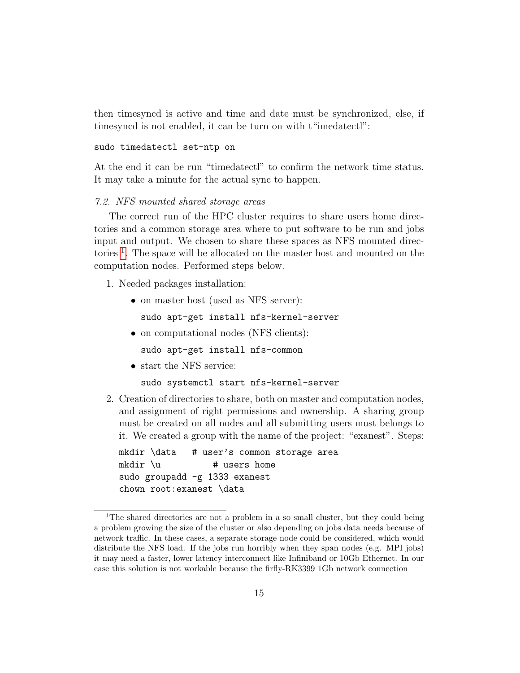then timesyncd is active and time and date must be synchronized, else, if timesyncd is not enabled, it can be turn on with t"imedatectl":

## sudo timedatectl set-ntp on

At the end it can be run "timedatectl" to confirm the network time status. It may take a minute for the actual sync to happen.

## 7.2. NFS mounted shared storage areas

The correct run of the HPC cluster requires to share users home directories and a common storage area where to put software to be run and jobs input and output. We chosen to share these spaces as NFS mounted direc-tories<sup>[1](#page-14-0)</sup>. The space will be allocated on the master host and mounted on the computation nodes. Performed steps below.

- 1. Needed packages installation:
	- on master host (used as NFS server): sudo apt-get install nfs-kernel-server
	- on computational nodes (NFS clients):

sudo apt-get install nfs-common

• start the NFS service:

sudo systemctl start nfs-kernel-server

2. Creation of directories to share, both on master and computation nodes, and assignment of right permissions and ownership. A sharing group must be created on all nodes and all submitting users must belongs to it. We created a group with the name of the project: "exanest". Steps:

mkdir \data # user's common storage area  $mkdir \ u$  # users home sudo groupadd -g 1333 exanest chown root:exanest \data

<span id="page-14-0"></span><sup>&</sup>lt;sup>1</sup>The shared directories are not a problem in a so small cluster, but they could being a problem growing the size of the cluster or also depending on jobs data needs because of network traffic. In these cases, a separate storage node could be considered, which would distribute the NFS load. If the jobs run horribly when they span nodes (e.g. MPI jobs) it may need a faster, lower latency interconnect like Infiniband or 10Gb Ethernet. In our case this solution is not workable because the firfly-RK3399 1Gb network connection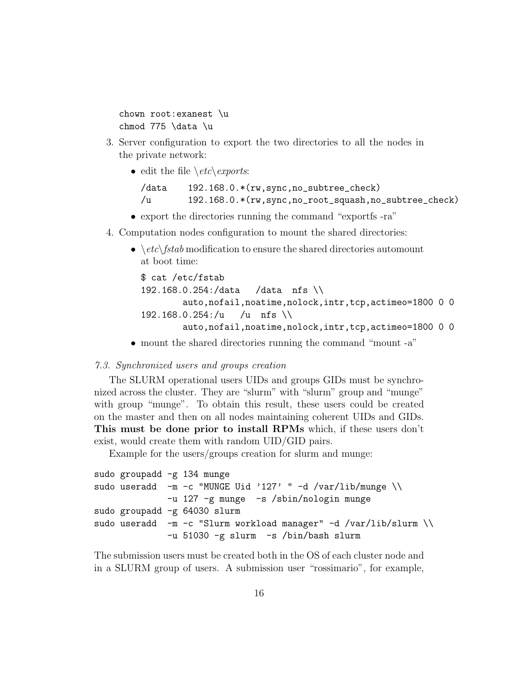```
chown root:exanest \u
chmod 775 \data \u
```
- 3. Server configuration to export the two directories to all the nodes in the private network:
	- edit the file  $\et{etc}$ *exports*:

```
/data 192.168.0.*(rw,sync,no_subtree_check)
/u 192.168.0.*(rw,sync,no_root_squash,no_subtree_check)
```
- export the directories running the command "exportfs -ra"
- 4. Computation nodes configuration to mount the shared directories:
	- $\setminus etc\setminus fstab$  modification to ensure the shared directories automount at boot time:

```
$ cat /etc/fstab
192.168.0.254:/data /data nfs \\
       auto,nofail,noatime,nolock,intr,tcp,actimeo=1800 0 0
192.168.0.254:/u /u nfs \\
       auto,nofail,noatime,nolock,intr,tcp,actimeo=1800 0 0
```
• mount the shared directories running the command "mount -a"

## 7.3. Synchronized users and groups creation

The SLURM operational users UIDs and groups GIDs must be synchronized across the cluster. They are "slurm" with "slurm" group and "munge" with group "munge". To obtain this result, these users could be created on the master and then on all nodes maintaining coherent UIDs and GIDs. This must be done prior to install RPMs which, if these users don't exist, would create them with random UID/GID pairs.

Example for the users/groups creation for slurm and munge:

```
sudo groupadd -g 134 munge
sudo useradd -m -c "MUNGE Uid '127' " -d /var/lib/munge \\
              -u 127 -g munge -s /sbin/nologin munge
sudo groupadd -g 64030 slurm
sudo useradd -m -c "Slurm workload manager" -d /var/lib/slurm \\
              -u 51030 -g slurm -s /bin/bash slurm
```
The submission users must be created both in the OS of each cluster node and in a SLURM group of users. A submission user "rossimario", for example,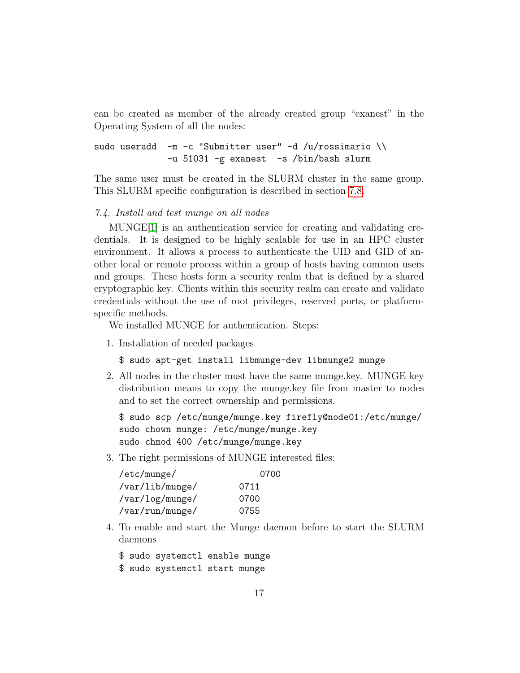can be created as member of the already created group "exanest" in the Operating System of all the nodes:

```
sudo useradd -m -c "Submitter user" -d /u/rossimario \ \ \ \ \ \-u 51031 -g exanest -s /bin/bash slurm
```
The same user must be created in the SLURM cluster in the same group. This SLURM specific configuration is described in section [7.8.](#page-21-0)

#### 7.4. Install and test munge on all nodes

MUNGE[\[1\]](#page-24-0) is an authentication service for creating and validating credentials. It is designed to be highly scalable for use in an HPC cluster environment. It allows a process to authenticate the UID and GID of another local or remote process within a group of hosts having common users and groups. These hosts form a security realm that is defined by a shared cryptographic key. Clients within this security realm can create and validate credentials without the use of root privileges, reserved ports, or platformspecific methods.

We installed MUNGE for authentication. Steps:

1. Installation of needed packages

\$ sudo apt-get install libmunge-dev libmunge2 munge

2. All nodes in the cluster must have the same munge.key. MUNGE key distribution means to copy the munge.key file from master to nodes and to set the correct ownership and permissions.

```
$ sudo scp /etc/munge/munge.key firefly@node01:/etc/munge/
sudo chown munge: /etc/munge/munge.key
sudo chmod 400 /etc/munge/munge.key
```
3. The right permissions of MUNGE interested files:

| /etc/munge/     | 0700 |
|-----------------|------|
| /var/lib/munge/ | 0711 |
| /var/log/munge/ | 0700 |
| /var/run/munge/ | 0755 |

4. To enable and start the Munge daemon before to start the SLURM daemons

\$ sudo systemctl enable munge

\$ sudo systemctl start munge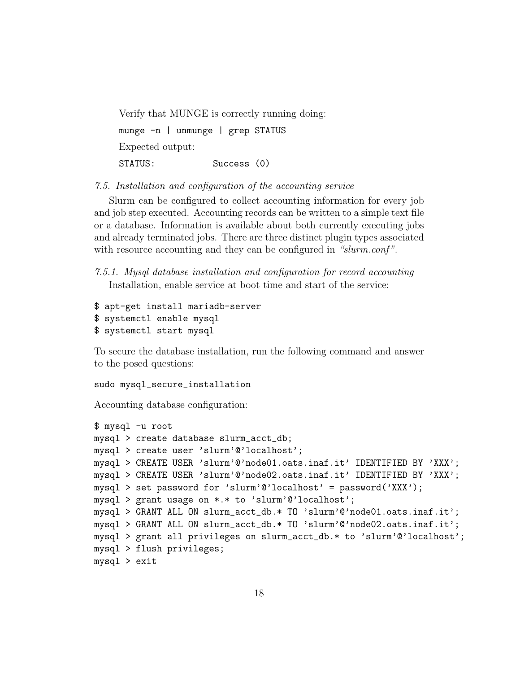Verify that MUNGE is correctly running doing: munge -n | unmunge | grep STATUS Expected output: STATUS: Success (0)

7.5. Installation and configuration of the accounting service

Slurm can be configured to collect accounting information for every job and job step executed. Accounting records can be written to a simple text file or a database. Information is available about both currently executing jobs and already terminated jobs. There are three distinct plugin types associated with resource accounting and they can be configured in "slurm.conf".

7.5.1. Mysql database installation and configuration for record accounting Installation, enable service at boot time and start of the service:

```
$ apt-get install mariadb-server
$ systemctl enable mysql
$ systemctl start mysql
```
To secure the database installation, run the following command and answer to the posed questions:

## sudo mysql\_secure\_installation

Accounting database configuration:

```
$ mysql -u root
mysql > create database slurm_acct_db;
mysql > create user 'slurm'@'localhost';
mysql > CREATE USER 'slurm'@'node01.oats.inaf.it' IDENTIFIED BY 'XXX';
mysql > CREATE USER 'slurm'@'node02.oats.inaf.it' IDENTIFIED BY 'XXX';
mysql > set password for 'slurm'@'localhost' = password('XXX');
mysql > grant usage on *.* to 'slurm'@'localhost';
mysql > GRANT ALL ON slurm_acct_db.* TO 'slurm'@'node01.oats.inaf.it';
mysql > GRANT ALL ON slurm_acct_db.* TO 'slurm'@'node02.oats.inaf.it';
mysql > grant all privileges on slurm_acct_db.* to 'slurm'@'localhost';
mysql > flush privileges;
mysql > exit
```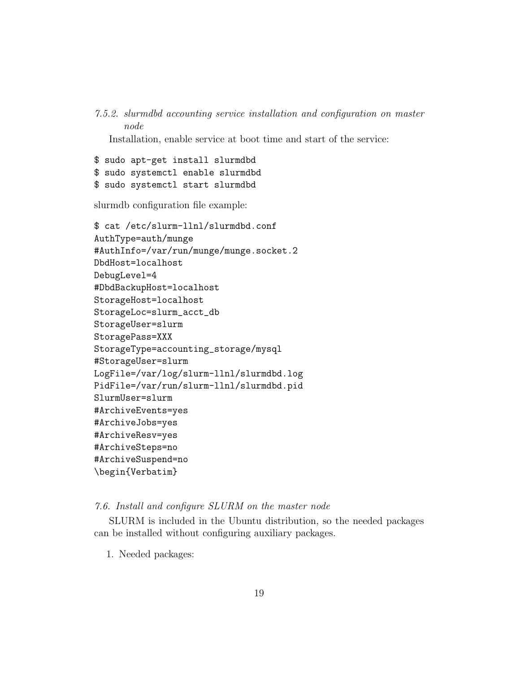7.5.2. slurmdbd accounting service installation and configuration on master node

Installation, enable service at boot time and start of the service:

\$ sudo apt-get install slurmdbd \$ sudo systemctl enable slurmdbd \$ sudo systemctl start slurmdbd

slurmdb configuration file example:

```
$ cat /etc/slurm-llnl/slurmdbd.conf
AuthType=auth/munge
#AuthInfo=/var/run/munge/munge.socket.2
DbdHost=localhost
DebugLevel=4
#DbdBackupHost=localhost
StorageHost=localhost
StorageLoc=slurm_acct_db
StorageUser=slurm
StoragePass=XXX
StorageType=accounting_storage/mysql
#StorageUser=slurm
LogFile=/var/log/slurm-llnl/slurmdbd.log
PidFile=/var/run/slurm-llnl/slurmdbd.pid
SlurmUser=slurm
#ArchiveEvents=yes
#ArchiveJobs=yes
#ArchiveResv=yes
#ArchiveSteps=no
#ArchiveSuspend=no
\begin{Verbatim}
```
## 7.6. Install and configure SLURM on the master node

SLURM is included in the Ubuntu distribution, so the needed packages can be installed without configuring auxiliary packages.

1. Needed packages: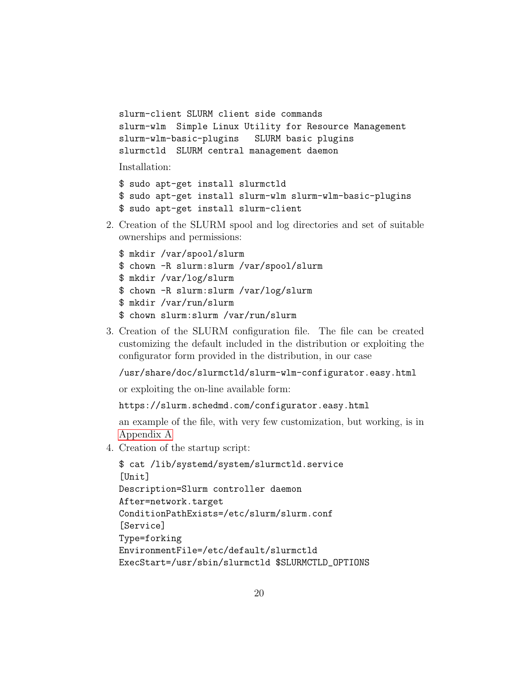```
slurm-client SLURM client side commands
slurm-wlm Simple Linux Utility for Resource Management
slurm-wlm-basic-plugins SLURM basic plugins
slurmctld SLURM central management daemon
```
Installation:

```
$ sudo apt-get install slurmctld
$ sudo apt-get install slurm-wlm slurm-wlm-basic-plugins
$ sudo apt-get install slurm-client
```
2. Creation of the SLURM spool and log directories and set of suitable ownerships and permissions:

```
$ mkdir /var/spool/slurm
$ chown -R slurm:slurm /var/spool/slurm
$ mkdir /var/log/slurm
$ chown -R slurm:slurm /var/log/slurm
$ mkdir /var/run/slurm
$ chown slurm:slurm /var/run/slurm
```
3. Creation of the SLURM configuration file. The file can be created customizing the default included in the distribution or exploiting the configurator form provided in the distribution, in our case

/usr/share/doc/slurmctld/slurm-wlm-configurator.easy.html

or exploiting the on-line available form:

https://slurm.schedmd.com/configurator.easy.html

an example of the file, with very few customization, but working, is in [Appendix A](#page-22-0)

4. Creation of the startup script:

```
$ cat /lib/systemd/system/slurmctld.service
[Unit]
Description=Slurm controller daemon
After=network.target
ConditionPathExists=/etc/slurm/slurm.conf
[Service]
Type=forking
EnvironmentFile=/etc/default/slurmctld
ExecStart=/usr/sbin/slurmctld $SLURMCTLD_OPTIONS
```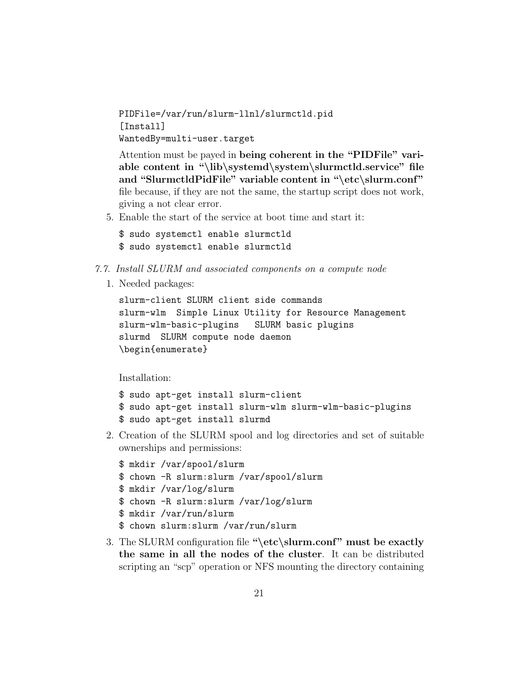PIDFile=/var/run/slurm-llnl/slurmctld.pid [Install] WantedBy=multi-user.target

Attention must be payed in being coherent in the "PIDFile" variable content in "\lib\systemd\system\slurmctld.service" file and "SlurmctldPidFile" variable content in "\etc\slurm.conf" file because, if they are not the same, the startup script does not work, giving a not clear error.

5. Enable the start of the service at boot time and start it:

```
$ sudo systemctl enable slurmctld
$ sudo systemctl enable slurmctld
```
- 7.7. Install SLURM and associated components on a compute node
	- 1. Needed packages:

```
slurm-client SLURM client side commands
slurm-wlm Simple Linux Utility for Resource Management
slurm-wlm-basic-plugins SLURM basic plugins
slurmd SLURM compute node daemon
\begin{enumerate}
```
Installation:

```
$ sudo apt-get install slurm-client
$ sudo apt-get install slurm-wlm slurm-wlm-basic-plugins
$ sudo apt-get install slurmd
```
2. Creation of the SLURM spool and log directories and set of suitable ownerships and permissions:

```
$ mkdir /var/spool/slurm
$ chown -R slurm:slurm /var/spool/slurm
$ mkdir /var/log/slurm
$ chown -R slurm:slurm /var/log/slurm
$ mkdir /var/run/slurm
$ chown slurm:slurm /var/run/slurm
```
3. The SLURM configuration file "\etc\slurm.conf" must be exactly the same in all the nodes of the cluster. It can be distributed scripting an "scp" operation or NFS mounting the directory containing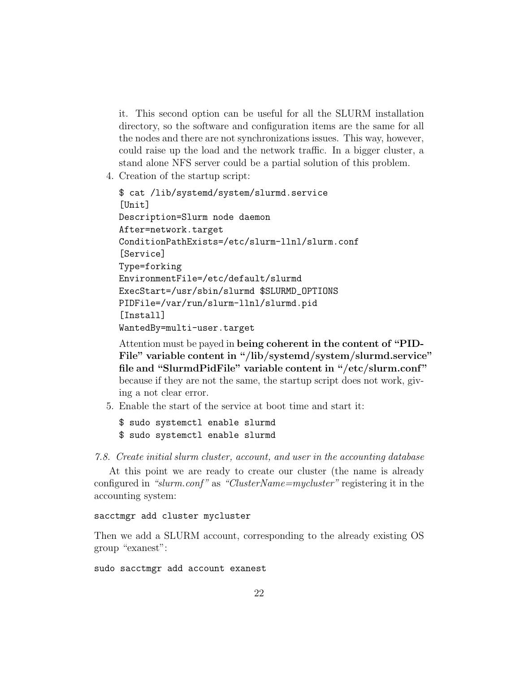it. This second option can be useful for all the SLURM installation directory, so the software and configuration items are the same for all the nodes and there are not synchronizations issues. This way, however, could raise up the load and the network traffic. In a bigger cluster, a stand alone NFS server could be a partial solution of this problem.

4. Creation of the startup script:

```
$ cat /lib/systemd/system/slurmd.service
[Unit]
Description=Slurm node daemon
After=network.target
ConditionPathExists=/etc/slurm-llnl/slurm.conf
[Service]
Type=forking
EnvironmentFile=/etc/default/slurmd
ExecStart=/usr/sbin/slurmd $SLURMD_OPTIONS
PIDFile=/var/run/slurm-llnl/slurmd.pid
[Install]
WantedBy=multi-user.target
```
Attention must be payed in being coherent in the content of "PID-File" variable content in "/lib/systemd/system/slurmd.service" file and "SlurmdPidFile" variable content in "/etc/slurm.conf" because if they are not the same, the startup script does not work, giving a not clear error.

5. Enable the start of the service at boot time and start it:

```
$ sudo systemctl enable slurmd
$ sudo systemctl enable slurmd
```
<span id="page-21-0"></span>7.8. Create initial slurm cluster, account, and user in the accounting database

At this point we are ready to create our cluster (the name is already configured in "slurm.conf" as "ClusterName=mycluster" registering it in the accounting system:

#### sacctmgr add cluster mycluster

Then we add a SLURM account, corresponding to the already existing OS group "exanest":

sudo sacctmgr add account exanest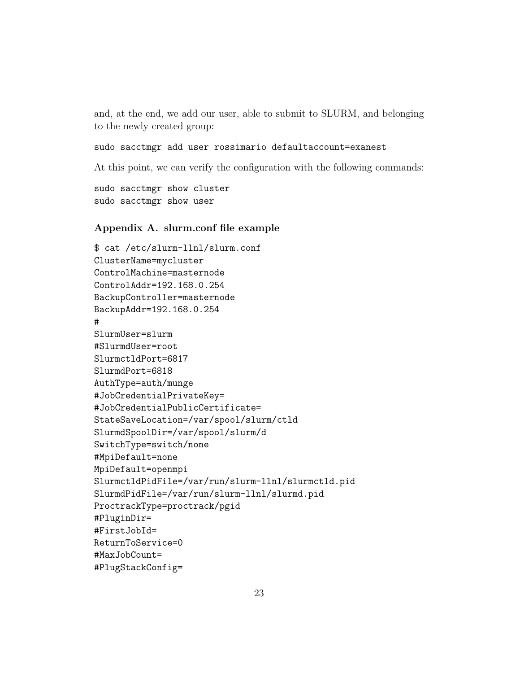and, at the end, we add our user, able to submit to SLURM, and belonging to the newly created group:

## sudo sacctmgr add user rossimario defaultaccount=exanest

At this point, we can verify the configuration with the following commands:

```
sudo sacctmgr show cluster
sudo sacctmgr show user
```
## <span id="page-22-0"></span>Appendix A. slurm.conf file example

```
$ cat /etc/slurm-llnl/slurm.conf
ClusterName=mycluster
ControlMachine=masternode
ControlAddr=192.168.0.254
BackupController=masternode
BackupAddr=192.168.0.254
#
SlurmUser=slurm
#SlurmdUser=root
SlurmctldPort=6817
SlurmdPort=6818
AuthType=auth/munge
#JobCredentialPrivateKey=
#JobCredentialPublicCertificate=
StateSaveLocation=/var/spool/slurm/ctld
SlurmdSpoolDir=/var/spool/slurm/d
SwitchType=switch/none
#MpiDefault=none
MpiDefault=openmpi
SlurmctldPidFile=/var/run/slurm-llnl/slurmctld.pid
SlurmdPidFile=/var/run/slurm-llnl/slurmd.pid
ProctrackType=proctrack/pgid
#PluginDir=
#FirstJobId=
ReturnToService=0
#MaxJobCount=
#PlugStackConfig=
```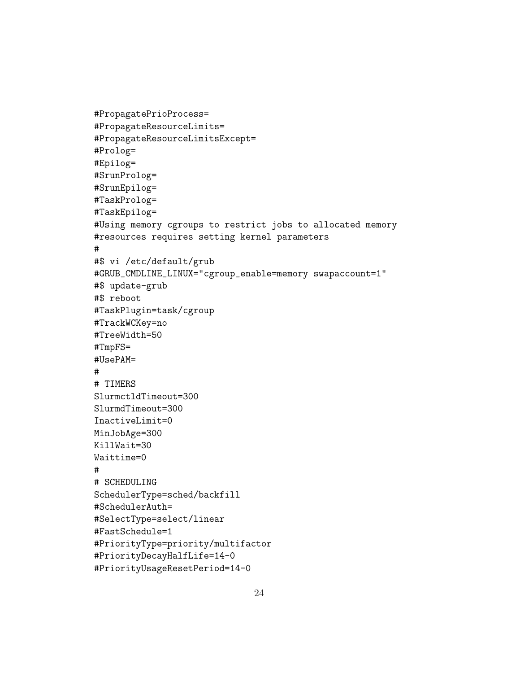```
#PropagatePrioProcess=
#PropagateResourceLimits=
#PropagateResourceLimitsExcept=
#Prolog=
#Epilog=
#SrunProlog=
#SrunEpilog=
#TaskProlog=
#TaskEpilog=
#Using memory cgroups to restrict jobs to allocated memory
#resources requires setting kernel parameters
#
#$ vi /etc/default/grub
#GRUB_CMDLINE_LINUX="cgroup_enable=memory swapaccount=1"
#$ update-grub
#$ reboot
#TaskPlugin=task/cgroup
#TrackWCKey=no
#TreeWidth=50
#TmpFS=
#UsePAM=
#
# TIMERS
SlurmctldTimeout=300
SlurmdTimeout=300
InactiveLimit=0
MinJobAge=300
KillWait=30
Waittime=0
#
# SCHEDULING
SchedulerType=sched/backfill
#SchedulerAuth=
#SelectType=select/linear
#FastSchedule=1
#PriorityType=priority/multifactor
#PriorityDecayHalfLife=14-0
#PriorityUsageResetPeriod=14-0
```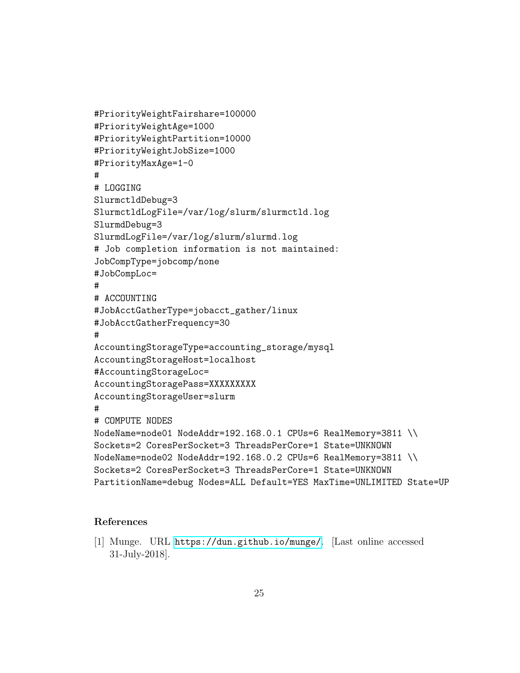```
#PriorityWeightFairshare=100000
#PriorityWeightAge=1000
#PriorityWeightPartition=10000
#PriorityWeightJobSize=1000
#PriorityMaxAge=1-0
#
# LOGGING
SlurmctldDebug=3
SlurmctldLogFile=/var/log/slurm/slurmctld.log
SlurmdDebug=3
SlurmdLogFile=/var/log/slurm/slurmd.log
# Job completion information is not maintained:
JobCompType=jobcomp/none
#JobCompLoc=
#
# ACCOUNTING
#JobAcctGatherType=jobacct_gather/linux
#JobAcctGatherFrequency=30
#
AccountingStorageType=accounting_storage/mysql
AccountingStorageHost=localhost
#AccountingStorageLoc=
AccountingStoragePass=XXXXXXXXX
AccountingStorageUser=slurm
#
# COMPUTE NODES
NodeName=node01 NodeAddr=192.168.0.1 CPUs=6 RealMemory=3811 \\
Sockets=2 CoresPerSocket=3 ThreadsPerCore=1 State=UNKNOWN
NodeName=node02 NodeAddr=192.168.0.2 CPUs=6 RealMemory=3811 \\
Sockets=2 CoresPerSocket=3 ThreadsPerCore=1 State=UNKNOWN
PartitionName=debug Nodes=ALL Default=YES MaxTime=UNLIMITED State=UP
```
# References

<span id="page-24-0"></span>[1] Munge. URL <https://dun.github.io/munge/>. [Last online accessed 31-July-2018].